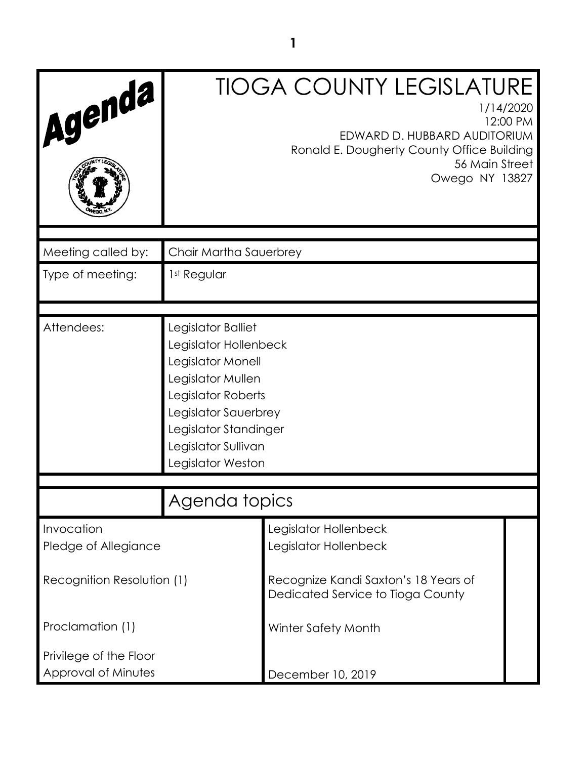| Agenda                             |                                                                                                                                                                                                          | <b>TIOGA COUNTY LEGISLATURE</b><br>1/14/2020<br>12:00 PM<br>EDWARD D. HUBBARD AUDITORIUM<br>Ronald E. Dougherty County Office Building<br>56 Main Street<br>Owego NY 13827 |  |  |
|------------------------------------|----------------------------------------------------------------------------------------------------------------------------------------------------------------------------------------------------------|----------------------------------------------------------------------------------------------------------------------------------------------------------------------------|--|--|
| Meeting called by:                 | Chair Martha Sauerbrey                                                                                                                                                                                   |                                                                                                                                                                            |  |  |
| Type of meeting:                   | 1st Regular                                                                                                                                                                                              |                                                                                                                                                                            |  |  |
|                                    |                                                                                                                                                                                                          |                                                                                                                                                                            |  |  |
| Attendees:                         | Legislator Balliet<br>Legislator Hollenbeck<br>Legislator Monell<br>Legislator Mullen<br>Legislator Roberts<br>Legislator Sauerbrey<br>Legislator Standinger<br>Legislator Sullivan<br>Legislator Weston |                                                                                                                                                                            |  |  |
|                                    | Agenda topics                                                                                                                                                                                            |                                                                                                                                                                            |  |  |
|                                    |                                                                                                                                                                                                          |                                                                                                                                                                            |  |  |
| Invocation<br>Pledge of Allegiance |                                                                                                                                                                                                          | Legislator Hollenbeck<br>Legislator Hollenbeck                                                                                                                             |  |  |
| Recognition Resolution (1)         |                                                                                                                                                                                                          | Recognize Kandi Saxton's 18 Years of<br>Dedicated Service to Tioga County                                                                                                  |  |  |
| Proclamation (1)                   |                                                                                                                                                                                                          | Winter Safety Month                                                                                                                                                        |  |  |
| Privilege of the Floor             |                                                                                                                                                                                                          |                                                                                                                                                                            |  |  |
| Approval of Minutes                |                                                                                                                                                                                                          | December 10, 2019                                                                                                                                                          |  |  |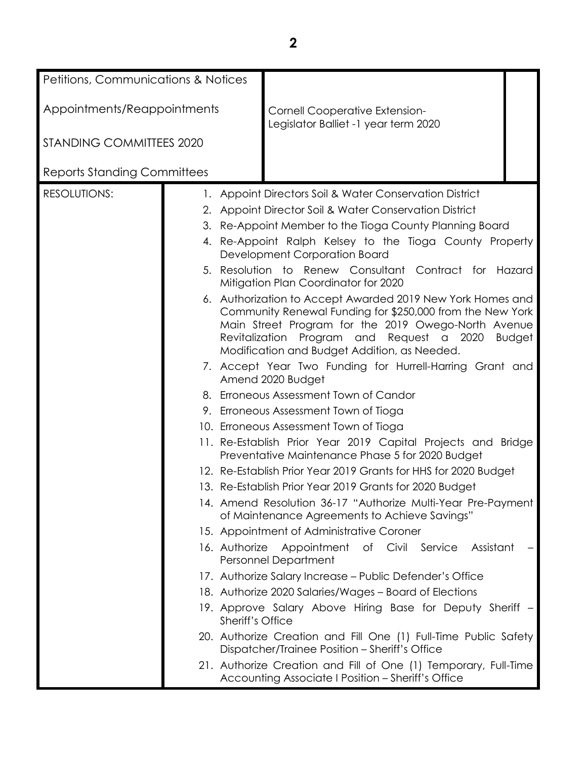| <b>Petitions, Communications &amp; Notices</b> |  |                         |                                                                                                                                                                                                                                                                             |        |
|------------------------------------------------|--|-------------------------|-----------------------------------------------------------------------------------------------------------------------------------------------------------------------------------------------------------------------------------------------------------------------------|--------|
|                                                |  |                         |                                                                                                                                                                                                                                                                             |        |
| Appointments/Reappointments                    |  |                         | Cornell Cooperative Extension-<br>Legislator Balliet -1 year term 2020                                                                                                                                                                                                      |        |
| <b>STANDING COMMITTEES 2020</b>                |  |                         |                                                                                                                                                                                                                                                                             |        |
| <b>Reports Standing Committees</b>             |  |                         |                                                                                                                                                                                                                                                                             |        |
| <b>RESOLUTIONS:</b>                            |  |                         | 1. Appoint Directors Soil & Water Conservation District                                                                                                                                                                                                                     |        |
|                                                |  |                         | 2. Appoint Director Soil & Water Conservation District                                                                                                                                                                                                                      |        |
|                                                |  |                         | 3. Re-Appoint Member to the Tioga County Planning Board                                                                                                                                                                                                                     |        |
|                                                |  |                         | 4. Re-Appoint Ralph Kelsey to the Tioga County Property<br>Development Corporation Board                                                                                                                                                                                    |        |
|                                                |  |                         | 5. Resolution to Renew Consultant Contract for<br>Mitigation Plan Coordinator for 2020                                                                                                                                                                                      | Hazard |
|                                                |  |                         | 6. Authorization to Accept Awarded 2019 New York Homes and<br>Community Renewal Funding for \$250,000 from the New York<br>Main Street Program for the 2019 Owego-North Avenue<br>Revitalization Program and Request a 2020<br>Modification and Budget Addition, as Needed. | Budget |
|                                                |  |                         | 7. Accept Year Two Funding for Hurrell-Harring Grant and<br>Amend 2020 Budget                                                                                                                                                                                               |        |
|                                                |  |                         | 8. Erroneous Assessment Town of Candor                                                                                                                                                                                                                                      |        |
|                                                |  |                         | 9. Erroneous Assessment Town of Tioga                                                                                                                                                                                                                                       |        |
|                                                |  |                         | 10. Erroneous Assessment Town of Tioga                                                                                                                                                                                                                                      |        |
|                                                |  |                         | 11. Re-Establish Prior Year 2019 Capital Projects and Bridge<br>Preventative Maintenance Phase 5 for 2020 Budget                                                                                                                                                            |        |
|                                                |  |                         | 12. Re-Establish Prior Year 2019 Grants for HHS for 2020 Budget                                                                                                                                                                                                             |        |
|                                                |  |                         | 13. Re-Establish Prior Year 2019 Grants for 2020 Budget                                                                                                                                                                                                                     |        |
|                                                |  |                         | 14. Amend Resolution 36-17 "Authorize Multi-Year Pre-Payment<br>of Maintenance Agreements to Achieve Savings"                                                                                                                                                               |        |
|                                                |  |                         | 15. Appointment of Administrative Coroner                                                                                                                                                                                                                                   |        |
|                                                |  | 16. Authorize           | Appointment of Civil Service<br>Assistant<br>Personnel Department                                                                                                                                                                                                           |        |
|                                                |  |                         | 17. Authorize Salary Increase - Public Defender's Office                                                                                                                                                                                                                    |        |
|                                                |  |                         | 18. Authorize 2020 Salaries/Wages – Board of Elections                                                                                                                                                                                                                      |        |
|                                                |  | <b>Sheriff's Office</b> | 19. Approve Salary Above Hiring Base for Deputy Sheriff -                                                                                                                                                                                                                   |        |
|                                                |  |                         | 20. Authorize Creation and Fill One (1) Full-Time Public Safety<br>Dispatcher/Trainee Position - Sheriff's Office                                                                                                                                                           |        |
|                                                |  |                         | 21. Authorize Creation and Fill of One (1) Temporary, Full-Time<br>Accounting Associate I Position - Sheriff's Office                                                                                                                                                       |        |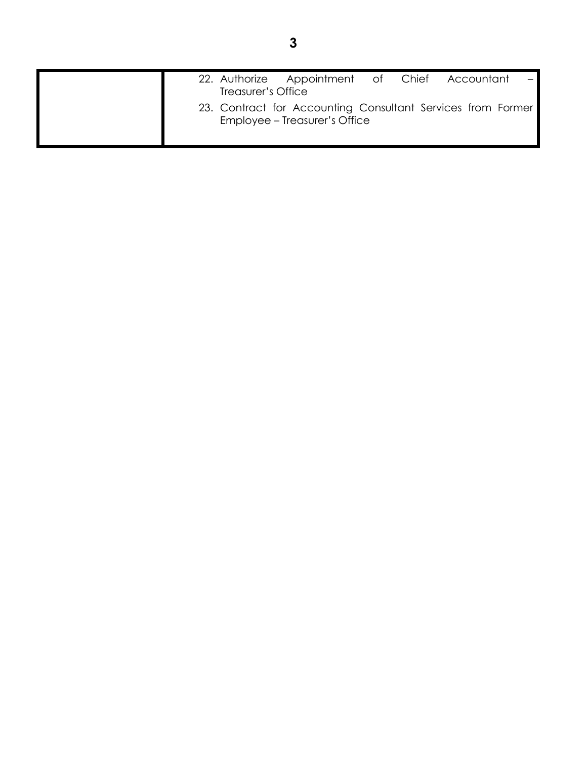|  | Treasurer's Office | 22. Authorize Appointment of Chief Accountant                                                |  |  |
|--|--------------------|----------------------------------------------------------------------------------------------|--|--|
|  |                    | 23. Contract for Accounting Consultant Services from Former<br>Employee - Treasurer's Office |  |  |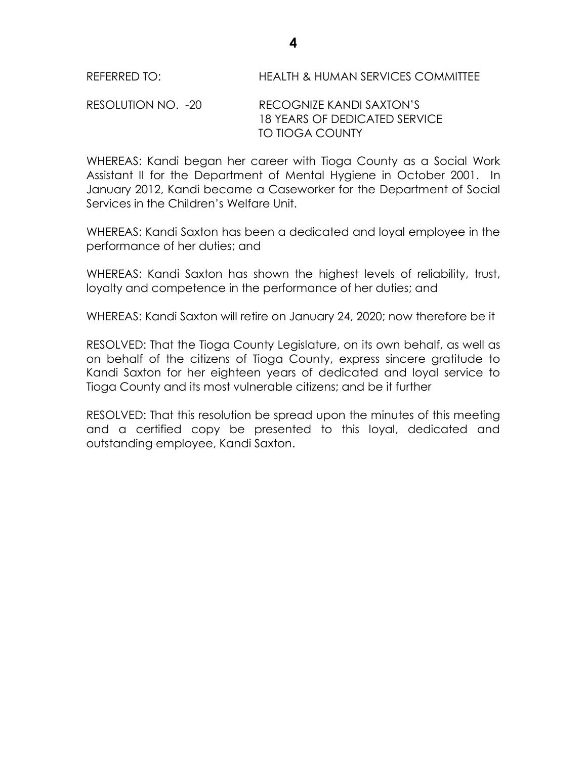#### RESOLUTION NO. -20 RECOGNIZE KANDI SAXTON'S 18 YEARS OF DEDICATED SERVICE TO TIOGA COUNTY

WHEREAS: Kandi began her career with Tioga County as a Social Work Assistant II for the Department of Mental Hygiene in October 2001. In January 2012, Kandi became a Caseworker for the Department of Social Services in the Children's Welfare Unit.

WHEREAS: Kandi Saxton has been a dedicated and loyal employee in the performance of her duties; and

WHEREAS: Kandi Saxton has shown the highest levels of reliability, trust, loyalty and competence in the performance of her duties; and

WHEREAS: Kandi Saxton will retire on January 24, 2020; now therefore be it

RESOLVED: That the Tioga County Legislature, on its own behalf, as well as on behalf of the citizens of Tioga County, express sincere gratitude to Kandi Saxton for her eighteen years of dedicated and loyal service to Tioga County and its most vulnerable citizens; and be it further

RESOLVED: That this resolution be spread upon the minutes of this meeting and a certified copy be presented to this loyal, dedicated and outstanding employee, Kandi Saxton.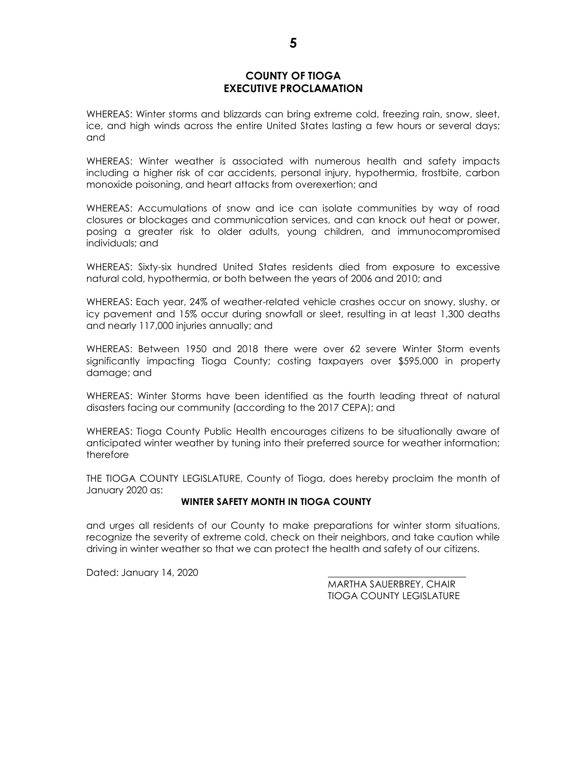#### **COUNTY OF TIOGA EXECUTIVE PROCLAMATION**

WHEREAS: Winter storms and blizzards can bring extreme cold, freezing rain, snow, sleet, ice, and high winds across the entire United States lasting a few hours or several days; and

WHEREAS: Winter weather is associated with numerous health and safety impacts including a higher risk of car accidents, personal injury, hypothermia, frostbite, carbon monoxide poisoning, and heart attacks from overexertion; and

WHEREAS: Accumulations of snow and ice can isolate communities by way of road closures or blockages and communication services, and can knock out heat or power, posing a greater risk to older adults, young children, and immunocompromised individuals; and

WHEREAS: Sixty-six hundred United States residents died from exposure to excessive natural cold, hypothermia, or both between the years of 2006 and 2010; and

WHEREAS: Each year, 24% of weather-related vehicle crashes occur on snowy, slushy, or icy pavement and 15% occur during snowfall or sleet, resulting in at least 1,300 deaths and nearly 117,000 injuries annually; and

WHEREAS: Between 1950 and 2018 there were over 62 severe Winter Storm events significantly impacting Tioga County; costing taxpayers over \$595,000 in property damage; and

WHEREAS: Winter Storms have been identified as the fourth leading threat of natural disasters facing our community (according to the 2017 CEPA); and

WHEREAS: Tioga County Public Health encourages citizens to be situationally aware of anticipated winter weather by tuning into their preferred source for weather information; therefore

THE TIOGA COUNTY LEGISLATURE, County of Tioga, does hereby proclaim the month of January 2020 as:

#### **WINTER SAFETY MONTH IN TIOGA COUNTY**

and urges all residents of our County to make preparations for winter storm situations, recognize the severity of extreme cold, check on their neighbors, and take caution while driving in winter weather so that we can protect the health and safety of our citizens.

Dated: January 14, 2020

MARTHA SAUERBREY, CHAIR TIOGA COUNTY LEGISLATURE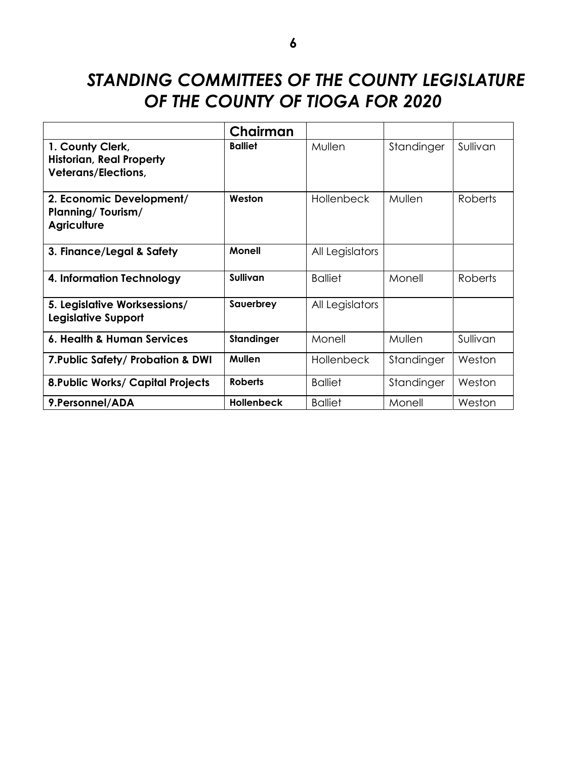# *STANDING COMMITTEES OF THE COUNTY LEGISLATURE OF THE COUNTY OF TIOGA FOR 2020*

|                                                                                   | Chairman          |                   |            |          |
|-----------------------------------------------------------------------------------|-------------------|-------------------|------------|----------|
| 1. County Clerk,<br><b>Historian, Real Property</b><br><b>Veterans/Elections,</b> | <b>Balliet</b>    | Mullen            | Standinger | Sullivan |
| 2. Economic Development/<br>Planning/Tourism/<br><b>Agriculture</b>               | Weston            | <b>Hollenbeck</b> | Mullen     | Roberts  |
| 3. Finance/Legal & Safety                                                         | <b>Monell</b>     | All Legislators   |            |          |
| 4. Information Technology                                                         | <b>Sullivan</b>   | <b>Balliet</b>    | Monell     | Roberts  |
| 5. Legislative Worksessions/<br><b>Legislative Support</b>                        | Sauerbrey         | All Legislators   |            |          |
| 6. Health & Human Services                                                        | Standinger        | Monell            | Mullen     | Sullivan |
| 7. Public Safety/ Probation & DWI                                                 | <b>Mullen</b>     | <b>Hollenbeck</b> | Standinger | Weston   |
| <b>8. Public Works/ Capital Projects</b>                                          | <b>Roberts</b>    | <b>Balliet</b>    | Standinger | Weston   |
| 9. Personnel/ADA                                                                  | <b>Hollenbeck</b> | <b>Balliet</b>    | Monell     | Weston   |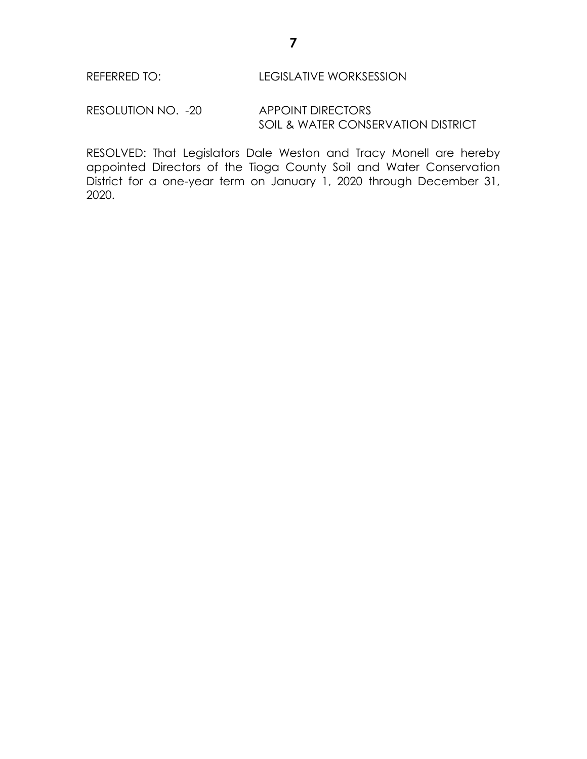### REFERRED TO: LEGISLATIVE WORKSESSION

RESOLUTION NO. - 20 APPOINT DIRECTORS SOIL & WATER CONSERVATION DISTRICT

RESOLVED: That Legislators Dale Weston and Tracy Monell are hereby appointed Directors of the Tioga County Soil and Water Conservation District for a one-year term on January 1, 2020 through December 31, 2020.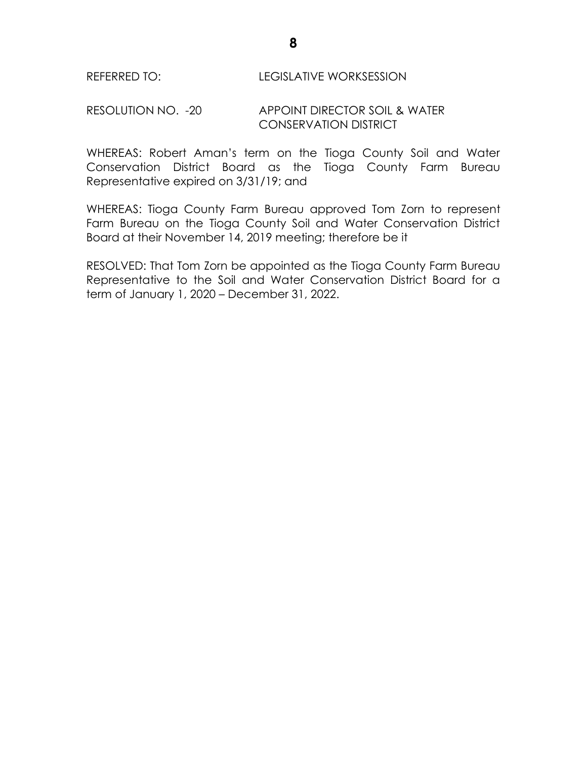RESOLUTION NO. -20 APPOINT DIRECTOR SOIL & WATER CONSERVATION DISTRICT

WHEREAS: Robert Aman's term on the Tioga County Soil and Water Conservation District Board as the Tioga County Farm Bureau Representative expired on 3/31/19; and

WHEREAS: Tioga County Farm Bureau approved Tom Zorn to represent Farm Bureau on the Tioga County Soil and Water Conservation District Board at their November 14, 2019 meeting; therefore be it

RESOLVED: That Tom Zorn be appointed as the Tioga County Farm Bureau Representative to the Soil and Water Conservation District Board for a term of January 1, 2020 – December 31, 2022.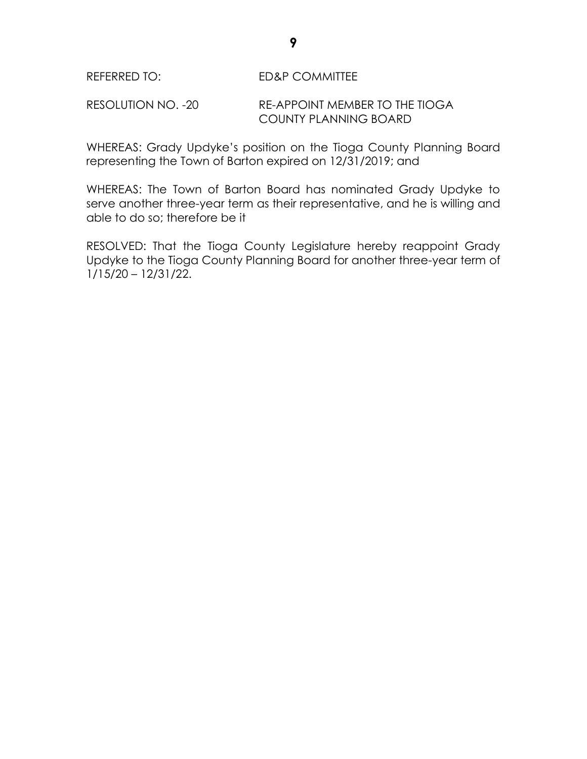RESOLUTION NO. -20 RE-APPOINT MEMBER TO THE TIOGA COUNTY PLANNING BOARD

WHEREAS: Grady Updyke's position on the Tioga County Planning Board representing the Town of Barton expired on 12/31/2019; and

WHEREAS: The Town of Barton Board has nominated Grady Updyke to serve another three-year term as their representative, and he is willing and able to do so; therefore be it

RESOLVED: That the Tioga County Legislature hereby reappoint Grady Updyke to the Tioga County Planning Board for another three-year term of 1/15/20 – 12/31/22.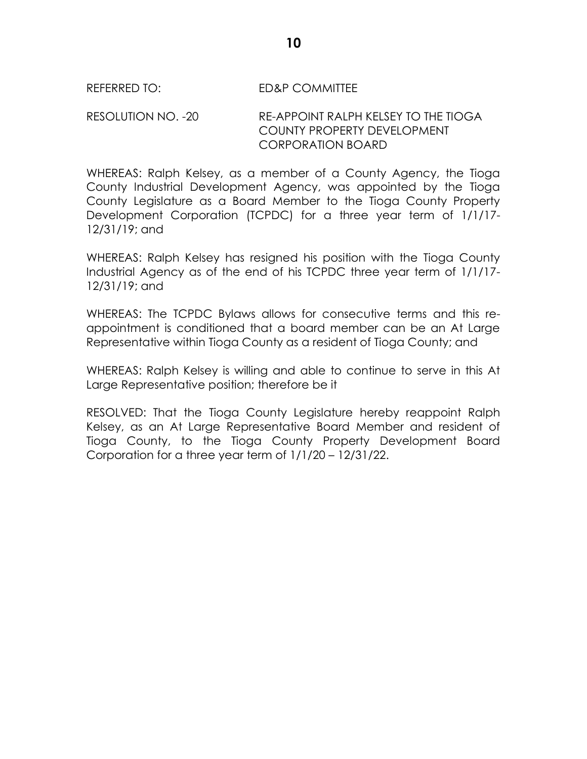#### REFERRED TO: ED&P COMMITTEE

RESOLUTION NO. -20 RE-APPOINT RALPH KELSEY TO THE TIOGA COUNTY PROPERTY DEVELOPMENT CORPORATION BOARD

WHEREAS: Ralph Kelsey, as a member of a County Agency, the Tioga County Industrial Development Agency, was appointed by the Tioga County Legislature as a Board Member to the Tioga County Property Development Corporation (TCPDC) for a three year term of 1/1/17- 12/31/19; and

WHEREAS: Ralph Kelsey has resigned his position with the Tioga County Industrial Agency as of the end of his TCPDC three year term of 1/1/17- 12/31/19; and

WHEREAS: The TCPDC Bylaws allows for consecutive terms and this reappointment is conditioned that a board member can be an At Large Representative within Tioga County as a resident of Tioga County; and

WHEREAS: Ralph Kelsey is willing and able to continue to serve in this At Large Representative position; therefore be it

RESOLVED: That the Tioga County Legislature hereby reappoint Ralph Kelsey, as an At Large Representative Board Member and resident of Tioga County, to the Tioga County Property Development Board Corporation for a three year term of 1/1/20 – 12/31/22.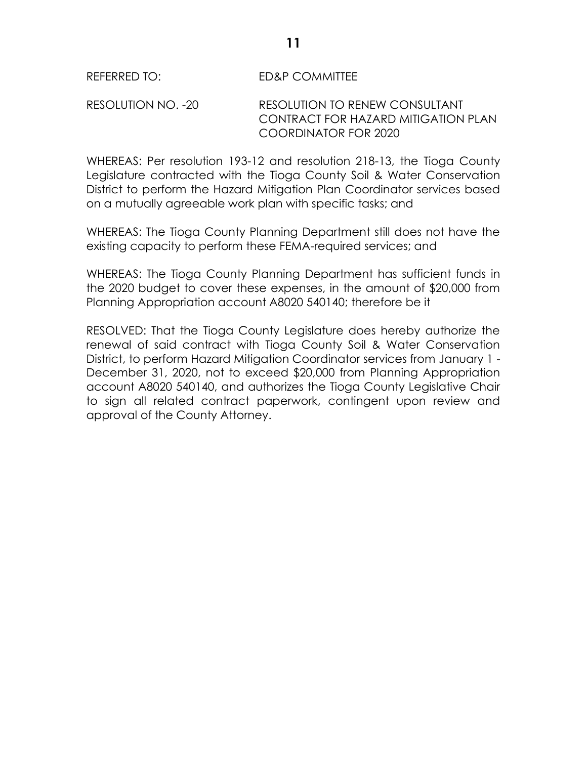### REFERRED TO: ED&P COMMITTEE

RESOLUTION NO. -20 RESOLUTION TO RENEW CONSULTANT CONTRACT FOR HAZARD MITIGATION PLAN COORDINATOR FOR 2020

WHEREAS: Per resolution 193-12 and resolution 218-13, the Tioga County Legislature contracted with the Tioga County Soil & Water Conservation District to perform the Hazard Mitigation Plan Coordinator services based on a mutually agreeable work plan with specific tasks; and

WHEREAS: The Tioga County Planning Department still does not have the existing capacity to perform these FEMA-required services; and

WHEREAS: The Tioga County Planning Department has sufficient funds in the 2020 budget to cover these expenses, in the amount of \$20,000 from Planning Appropriation account A8020 540140; therefore be it

RESOLVED: That the Tioga County Legislature does hereby authorize the renewal of said contract with Tioga County Soil & Water Conservation District, to perform Hazard Mitigation Coordinator services from January 1 - December 31, 2020, not to exceed \$20,000 from Planning Appropriation account A8020 540140, and authorizes the Tioga County Legislative Chair to sign all related contract paperwork, contingent upon review and approval of the County Attorney.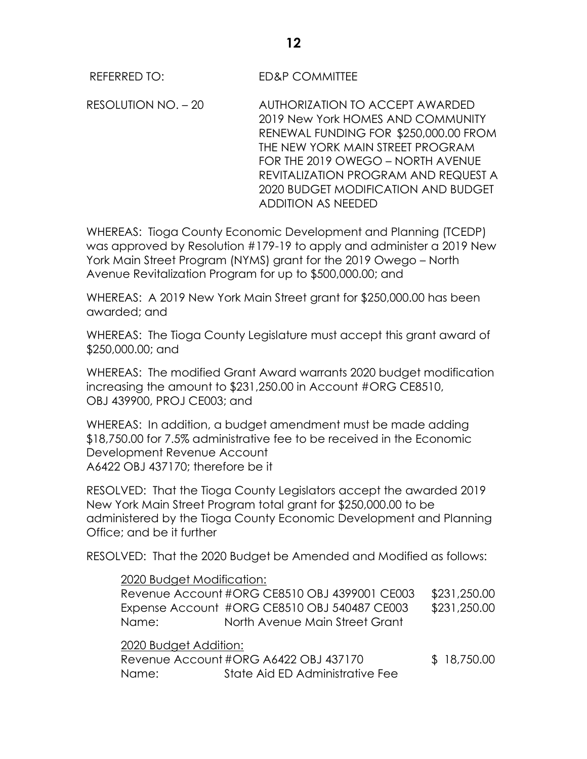RESOLUTION NO. – 20 AUTHORIZATION TO ACCEPT AWARDED 2019 New York HOMES AND COMMUNITY RENEWAL FUNDING FOR \$250,000.00 FROM THE NEW YORK MAIN STREET PROGRAM FOR THE 2019 OWEGO – NORTH AVENUE REVITALIZATION PROGRAM AND REQUEST A 2020 BUDGET MODIFICATION AND BUDGET ADDITION AS NEEDED

WHEREAS: Tioga County Economic Development and Planning (TCEDP) was approved by Resolution #179-19 to apply and administer a 2019 New York Main Street Program (NYMS) grant for the 2019 Owego – North Avenue Revitalization Program for up to \$500,000.00; and

WHEREAS: A 2019 New York Main Street grant for \$250,000.00 has been awarded; and

WHEREAS: The Tioga County Legislature must accept this grant award of \$250,000.00; and

WHEREAS: The modified Grant Award warrants 2020 budget modification increasing the amount to \$231,250.00 in Account #ORG CE8510, OBJ 439900, PROJ CE003; and

WHEREAS: In addition, a budget amendment must be made adding \$18,750.00 for 7.5% administrative fee to be received in the Economic Development Revenue Account A6422 OBJ 437170; therefore be it

RESOLVED: That the Tioga County Legislators accept the awarded 2019 New York Main Street Program total grant for \$250,000.00 to be administered by the Tioga County Economic Development and Planning Office; and be it further

RESOLVED: That the 2020 Budget be Amended and Modified as follows:

2020 Budget Modification: Revenue Account #ORG CE8510 OBJ 4399001 CE003 \$231,250.00 Expense Account #ORG CE8510 OBJ 540487 CE003 \$231,250.00

Name: North Avenue Main Street Grant

2020 Budget Addition: Revenue Account #ORG A6422 OBJ 437170 \$ 18,750.00 Name: State Aid ED Administrative Fee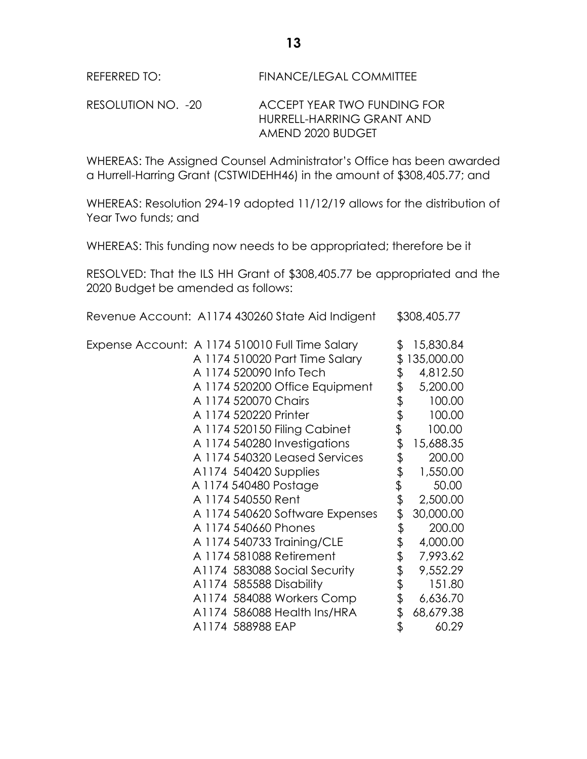RESOLUTION NO. -20 ACCEPT YEAR TWO FUNDING FOR HURRELL-HARRING GRANT AND AMEND 2020 BUDGET

WHEREAS: The Assigned Counsel Administrator's Office has been awarded a Hurrell-Harring Grant (CSTWIDEHH46) in the amount of \$308,405.77; and

WHEREAS: Resolution 294-19 adopted 11/12/19 allows for the distribution of Year Two funds; and

WHEREAS: This funding now needs to be appropriated; therefore be it

RESOLVED: That the ILS HH Grant of \$308,405.77 be appropriated and the 2020 Budget be amended as follows:

Revenue Account: A1174 430260 State Aid Indigent \$308,405.77

| Expense Account: A 1174 510010 Full Time Salary |                       |                                 | \$<br>15,830.84  |
|-------------------------------------------------|-----------------------|---------------------------------|------------------|
|                                                 |                       | A 1174 510020 Part Time Salary  | \$<br>135,000.00 |
|                                                 |                       | A 1174 520090 Info Tech         | \$<br>4,812.50   |
|                                                 |                       | A 1174 520200 Office Equipment  | \$<br>5,200.00   |
|                                                 | A 1174 520070 Chairs  |                                 | \$<br>100.00     |
|                                                 | A 1174 520220 Printer |                                 | \$<br>100.00     |
|                                                 |                       | A 1174 520150 Filing Cabinet    | \$<br>100.00     |
|                                                 |                       | A 1174 540280 Investigations    | \$<br>15,688.35  |
|                                                 |                       | A 1174 540320 Leased Services   | \$<br>200.00     |
|                                                 |                       | A1174 540420 Supplies           | \$<br>1,550.00   |
|                                                 |                       | A 1174 540480 Postage           | \$<br>50.00      |
|                                                 | A 1174 540550 Rent    |                                 | \$<br>2,500.00   |
|                                                 |                       | A 1174 540620 Software Expenses | \$<br>30,000.00  |
|                                                 |                       | A 1174 540660 Phones            | \$<br>200.00     |
|                                                 |                       | A 1174 540733 Training/CLE      | \$<br>4,000.00   |
|                                                 |                       | A 1174 581088 Retirement        | \$<br>7,993.62   |
|                                                 |                       | A1174 583088 Social Security    | \$<br>9,552.29   |
|                                                 |                       | A1174 585588 Disability         | \$<br>151.80     |
|                                                 |                       | A1174 584088 Workers Comp       | \$<br>6,636.70   |
|                                                 |                       | A1174 586088 Health Ins/HRA     | \$<br>68,679.38  |
|                                                 | A1174 588988 EAP      |                                 | \$<br>60.29      |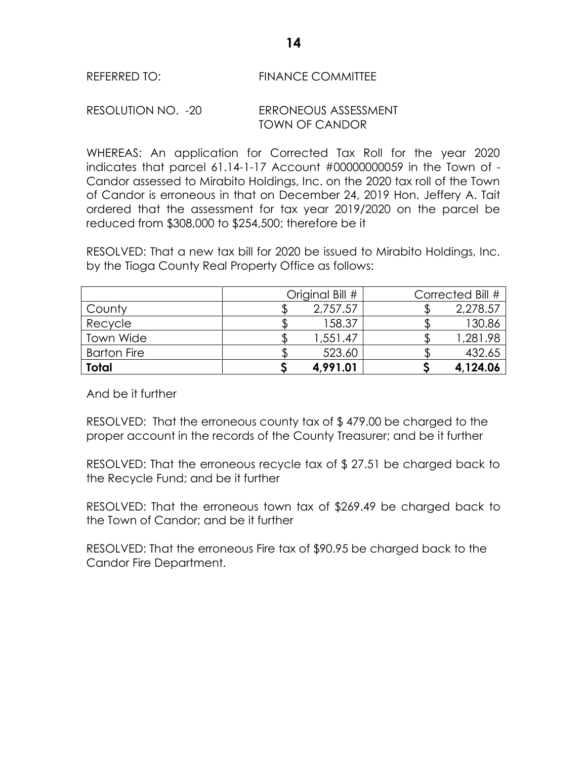#### RESOLUTION NO. -20 ERRONEOUS ASSESSMENT TOWN OF CANDOR

WHEREAS: An application for Corrected Tax Roll for the year 2020 indicates that parcel 61.14-1-17 Account #00000000059 in the Town of - Candor assessed to Mirabito Holdings, Inc. on the 2020 tax roll of the Town of Candor is erroneous in that on December 24, 2019 Hon. Jeffery A. Tait ordered that the assessment for tax year 2019/2020 on the parcel be reduced from \$308,000 to \$254,500; therefore be it

RESOLVED: That a new tax bill for 2020 be issued to Mirabito Holdings, Inc. by the Tioga County Real Property Office as follows:

|                    | Original Bill # |          | Corrected Bill # |
|--------------------|-----------------|----------|------------------|
| County             |                 | 2,757.57 | 2,278.57         |
| Recycle            |                 | 158.37   | 130.86           |
| Town Wide          |                 | 1,551.47 | 1,281.98         |
| <b>Barton Fire</b> |                 | 523.60   | 432.65           |
| <b>Total</b>       |                 | 4,991.01 | 4,124.06         |

And be it further

RESOLVED: That the erroneous county tax of \$ 479.00 be charged to the proper account in the records of the County Treasurer; and be it further

RESOLVED: That the erroneous recycle tax of \$ 27.51 be charged back to the Recycle Fund; and be it further

RESOLVED: That the erroneous town tax of \$269.49 be charged back to the Town of Candor; and be it further

RESOLVED: That the erroneous Fire tax of \$90.95 be charged back to the Candor Fire Department.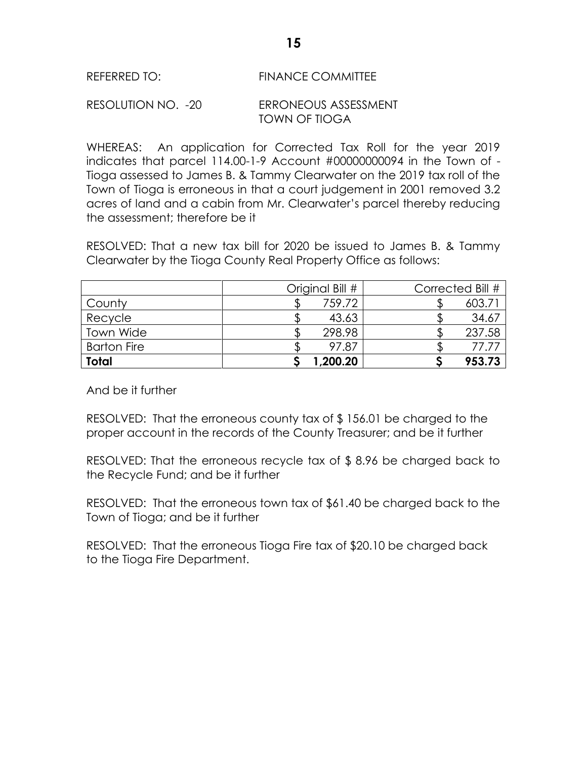#### RESOLUTION NO. -20 ERRONEOUS ASSESSMENT TOWN OF TIOGA

WHEREAS: An application for Corrected Tax Roll for the year 2019 indicates that parcel 114.00-1-9 Account #00000000094 in the Town of - Tioga assessed to James B. & Tammy Clearwater on the 2019 tax roll of the Town of Tioga is erroneous in that a court judgement in 2001 removed 3.2 acres of land and a cabin from Mr. Clearwater's parcel thereby reducing the assessment; therefore be it

RESOLVED: That a new tax bill for 2020 be issued to James B. & Tammy Clearwater by the Tioga County Real Property Office as follows:

|                    | Original Bill # | Corrected Bill # |
|--------------------|-----------------|------------------|
| County             | 759.72          | $603.7^{\circ}$  |
| Recycle            | 43.63           | 34.67            |
| <b>Town Wide</b>   | 298.98          | 237.58           |
| <b>Barton Fire</b> | 97.87           | 77.71            |
| <b>Total</b>       | 1,200.20        | 953.73           |

And be it further

RESOLVED: That the erroneous county tax of \$ 156.01 be charged to the proper account in the records of the County Treasurer; and be it further

RESOLVED: That the erroneous recycle tax of \$ 8.96 be charged back to the Recycle Fund; and be it further

RESOLVED: That the erroneous town tax of \$61.40 be charged back to the Town of Tioga; and be it further

RESOLVED: That the erroneous Tioga Fire tax of \$20.10 be charged back to the Tioga Fire Department.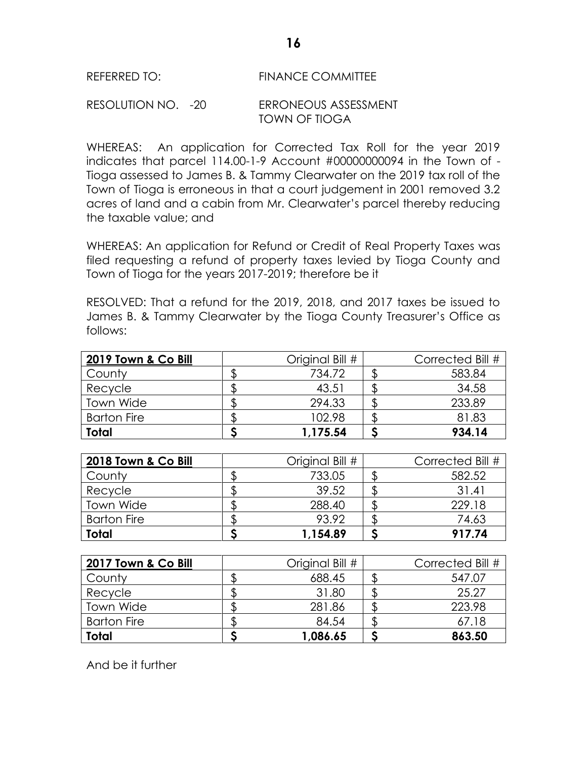#### RESOLUTION NO. -20 ERRONEOUS ASSESSMENT TOWN OF TIOGA

WHEREAS: An application for Corrected Tax Roll for the year 2019 indicates that parcel 114.00-1-9 Account #00000000094 in the Town of - Tioga assessed to James B. & Tammy Clearwater on the 2019 tax roll of the Town of Tioga is erroneous in that a court judgement in 2001 removed 3.2 acres of land and a cabin from Mr. Clearwater's parcel thereby reducing the taxable value; and

WHEREAS: An application for Refund or Credit of Real Property Taxes was filed requesting a refund of property taxes levied by Tioga County and Town of Tioga for the years 2017-2019; therefore be it

RESOLVED: That a refund for the 2019, 2018, and 2017 taxes be issued to James B. & Tammy Clearwater by the Tioga County Treasurer's Office as follows:

| 2019 Town & Co Bill | Original Bill # | Corrected Bill # |
|---------------------|-----------------|------------------|
| County              | 734.72          | 583.84           |
| Recycle             | 43.51           | 34.58            |
| Town Wide           | 294.33          | 233.89           |
| <b>Barton Fire</b>  | 102.98          | 81.83            |
| Total               | 1,175.54        | 934.14           |

| 2018 Town & Co Bill | Original Bill # | Corrected Bill # |
|---------------------|-----------------|------------------|
| County              | 733.05          | 582.52           |
| Recycle             | 39.52           | 31.41            |
| Town Wide           | 288.40          | 229.18           |
| <b>Barton Fire</b>  | 93.92           | 74.63            |
| Total               | 1,154.89        | 917.74           |

| 2017 Town & Co Bill | Original Bill # | Corrected Bill # |
|---------------------|-----------------|------------------|
| County              | 688.45          | 547.07           |
| Recycle             | 31.80           | 25.27            |
| Town Wide           | 281.86          | 223.98           |
| <b>Barton Fire</b>  | 84.54           | 67.18            |
| Total               | 1,086.65        | 863.50           |

And be it further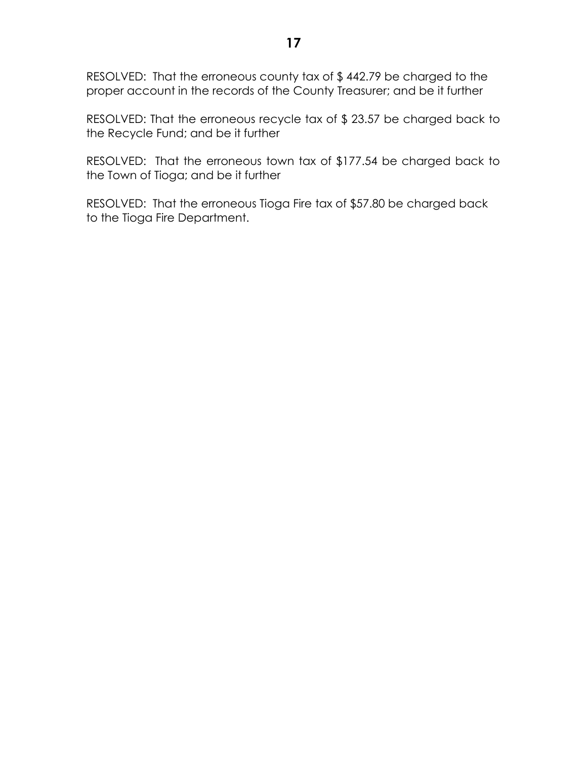RESOLVED: That the erroneous county tax of \$ 442.79 be charged to the proper account in the records of the County Treasurer; and be it further

RESOLVED: That the erroneous recycle tax of \$ 23.57 be charged back to the Recycle Fund; and be it further

RESOLVED: That the erroneous town tax of \$177.54 be charged back to the Town of Tioga; and be it further

RESOLVED: That the erroneous Tioga Fire tax of \$57.80 be charged back to the Tioga Fire Department.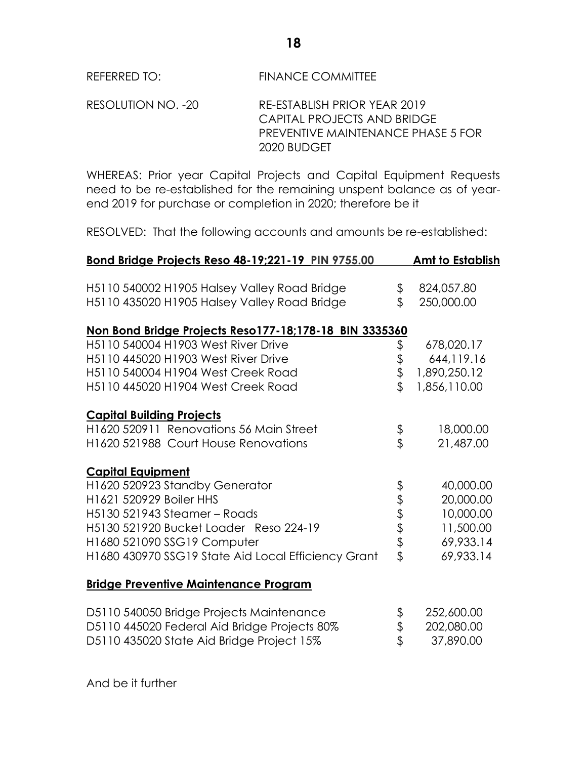RESOLUTION NO. -20 RE-ESTABLISH PRIOR YEAR 2019 CAPITAL PROJECTS AND BRIDGE PREVENTIVE MAINTENANCE PHASE 5 FOR 2020 BUDGET

WHEREAS: Prior year Capital Projects and Capital Equipment Requests need to be re-established for the remaining unspent balance as of yearend 2019 for purchase or completion in 2020; therefore be it

RESOLVED: That the following accounts and amounts be re-established:

|              | <b>Amt to Establish</b>                                                                       |
|--------------|-----------------------------------------------------------------------------------------------|
|              |                                                                                               |
| \$           | 824,057.80                                                                                    |
| \$           | 250,000.00                                                                                    |
|              |                                                                                               |
|              | 678,020.17                                                                                    |
|              | 644,119.16                                                                                    |
|              | 1,890,250.12                                                                                  |
| $\mathbf{r}$ | 1,856,110.00                                                                                  |
|              |                                                                                               |
|              | 18,000.00                                                                                     |
|              | 21,487.00                                                                                     |
|              |                                                                                               |
|              | 40,000.00                                                                                     |
|              | 20,000.00                                                                                     |
|              | 10,000.00                                                                                     |
|              | 11,500.00                                                                                     |
|              | 69,933.14                                                                                     |
|              | 69,933.14                                                                                     |
|              |                                                                                               |
|              |                                                                                               |
| \$           | 252,600.00                                                                                    |
|              | 202,080.00                                                                                    |
|              | 37,890.00                                                                                     |
|              | Non Bond Bridge Projects Reso177-18;178-18 BIN 3335360<br>\$<br>\$<br>\$<br>もあままま<br>\$<br>\$ |

And be it further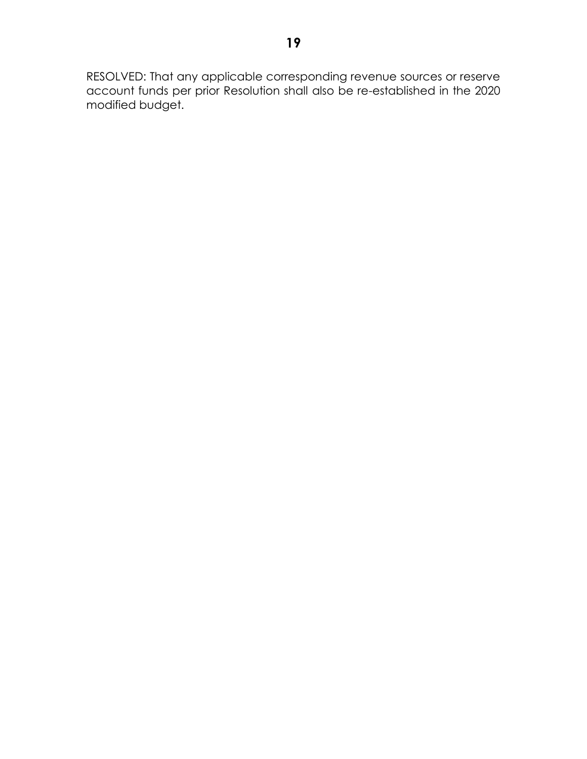RESOLVED: That any applicable corresponding revenue sources or reserve account funds per prior Resolution shall also be re-established in the 2020 modified budget.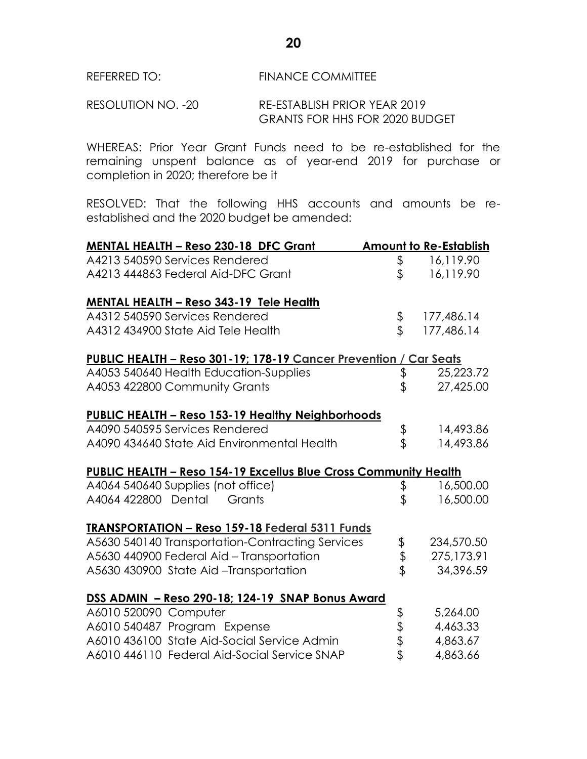RESOLUTION NO. -20 RE-ESTABLISH PRIOR YEAR 2019 GRANTS FOR HHS FOR 2020 BUDGET

WHEREAS: Prior Year Grant Funds need to be re-established for the remaining unspent balance as of year-end 2019 for purchase or completion in 2020; therefore be it

RESOLVED: That the following HHS accounts and amounts be reestablished and the 2020 budget be amended:

| <b>MENTAL HEALTH - Reso 230-18 DFC Grant</b>                            |          | <b>Amount to Re-Establish</b> |
|-------------------------------------------------------------------------|----------|-------------------------------|
| A4213 540590 Services Rendered                                          | \$       | 16,119.90                     |
| A4213 444863 Federal Aid-DFC Grant                                      | \$       | 16,119.90                     |
| <b>MENTAL HEALTH - Reso 343-19 Tele Health</b>                          |          |                               |
| A4312 540590 Services Rendered                                          | \$       | 177,486.14                    |
| A4312 434900 State Aid Tele Health                                      | \$       | 177,486.14                    |
| PUBLIC HEALTH - Reso 301-19; 178-19 Cancer Prevention / Car Seats       |          |                               |
| A4053 540640 Health Education-Supplies                                  | \$       | 25,223.72                     |
| A4053 422800 Community Grants                                           | \$       | 27,425.00                     |
| <b>PUBLIC HEALTH - Reso 153-19 Healthy Neighborhoods</b>                |          |                               |
| A4090 540595 Services Rendered                                          | \$<br>\$ | 14,493.86                     |
| A4090 434640 State Aid Environmental Health                             |          | 14,493.86                     |
| <b>PUBLIC HEALTH - Reso 154-19 Excellus Blue Cross Community Health</b> |          |                               |
| A4064 540640 Supplies (not office)                                      | \$       | 16,500.00                     |
| A4064 422800 Dental<br>Grants                                           | \$       | 16,500.00                     |
| <b>TRANSPORTATION - Reso 159-18 Federal 5311 Funds</b>                  |          |                               |
| A5630 540140 Transportation-Contracting Services                        |          | 234,570.50                    |
| A5630 440900 Federal Aid - Transportation                               | \$<br>\$ | 275,173.91                    |
| A5630 430900 State Aid-Transportation                                   |          | 34,396.59                     |
| DSS ADMIN - Reso 290-18; 124-19 SNAP Bonus Award                        |          |                               |
| A6010 520090 Computer                                                   |          | 5,264.00                      |
| A6010 540487 Program Expense                                            | さわま      | 4,463.33                      |
| A6010 436100 State Aid-Social Service Admin                             |          | 4,863.67                      |
| A6010 446110 Federal Aid-Social Service SNAP                            |          | 4,863.66                      |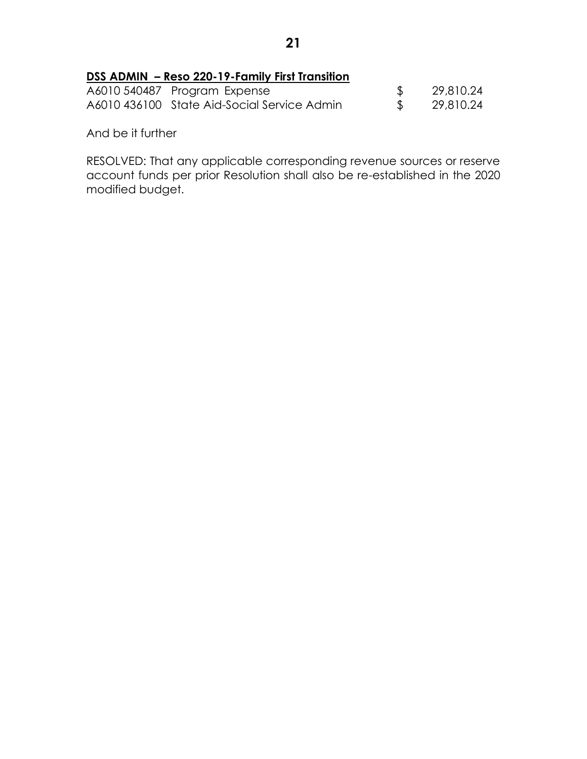### **DSS ADMIN – Reso 220-19-Family First Transition**

| A6010 540487 Program Expense                | 29,810.24   |
|---------------------------------------------|-------------|
| A6010 436100 State Aid-Social Service Admin | \$29,810.24 |

And be it further

RESOLVED: That any applicable corresponding revenue sources or reserve account funds per prior Resolution shall also be re-established in the 2020 modified budget.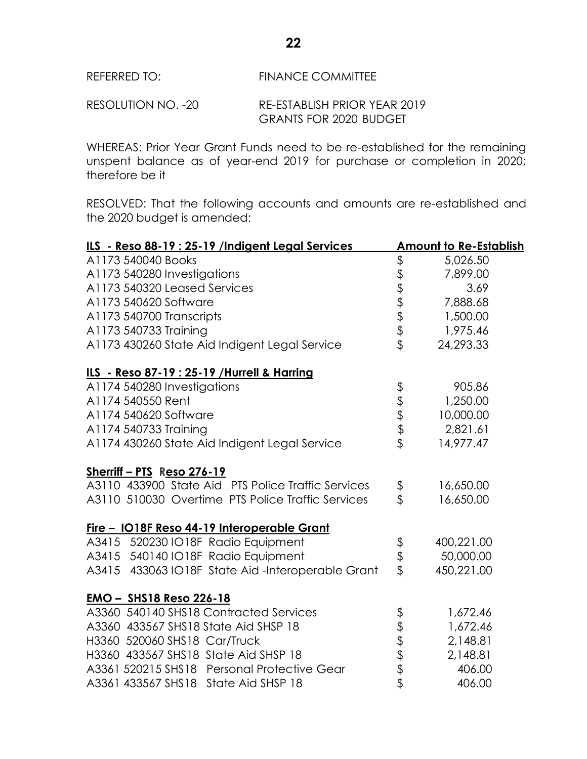RESOLUTION NO. -20 RE-ESTABLISH PRIOR YEAR 2019 GRANTS FOR 2020 BUDGET

WHEREAS: Prior Year Grant Funds need to be re-established for the remaining unspent balance as of year-end 2019 for purchase or completion in 2020; therefore be it

RESOLVED: That the following accounts and amounts are re-established and the 2020 budget is amended:

| ILS - Reso 88-19 : 25-19 /Indigent Legal Services  |          | <b>Amount to Re-Establish</b> |  |
|----------------------------------------------------|----------|-------------------------------|--|
| A1173 540040 Books                                 |          | 5,026.50                      |  |
| A1173 540280 Investigations                        | ももまままま   | 7,899.00                      |  |
| A1173 540320 Leased Services                       |          | 3.69                          |  |
| A1173 540620 Software                              |          | 7,888.68                      |  |
| A1173 540700 Transcripts                           |          | 1,500.00                      |  |
| A1173 540733 Training                              |          | 1,975.46                      |  |
| A1173 430260 State Aid Indigent Legal Service      |          | 24,293.33                     |  |
| ILS - Reso 87-19 : 25-19 / Hurrell & Harring       |          |                               |  |
| A1174 540280 Investigations                        |          | 905.86                        |  |
| A1174 540550 Rent                                  |          | 1,250.00                      |  |
| A1174 540620 Software                              | もままま     | 10,000.00                     |  |
| A1174 540733 Training                              |          | 2,821.61                      |  |
| A1174 430260 State Aid Indigent Legal Service      |          | 14,977.47                     |  |
| Sherriff - PTS Reso 276-19                         |          |                               |  |
| A3110 433900 State Aid PTS Police Traffic Services | \$       | 16,650.00                     |  |
| A3110 510030 Overtime PTS Police Traffic Services  |          | 16,650.00                     |  |
| Fire - IO18F Reso 44-19 Interoperable Grant        |          |                               |  |
| A3415 520230 IO18F Radio Equipment                 |          | 400,221.00                    |  |
| A3415 540140 IO18F Radio Equipment                 | \$<br>\$ | 50,000.00                     |  |
| A3415 433063 IO18F State Aid-Interoperable Grant   |          | 450,221.00                    |  |
| <b>EMO - SHS18 Reso 226-18</b>                     |          |                               |  |
| A3360 540140 SHS18 Contracted Services             |          | 1,672.46                      |  |
| A3360 433567 SHS18 State Aid SHSP 18               |          | 1,672.46                      |  |
| H3360 520060 SHS18 Car/Truck                       |          | 2,148.81                      |  |
| H3360 433567 SHS18 State Aid SHSP 18               |          | 2,148.81                      |  |
| A3361 520215 SHS18 Personal Protective Gear        | もまままま    | 406.00                        |  |
| A3361 433567 SHS18 State Aid SHSP 18               |          | 406.00                        |  |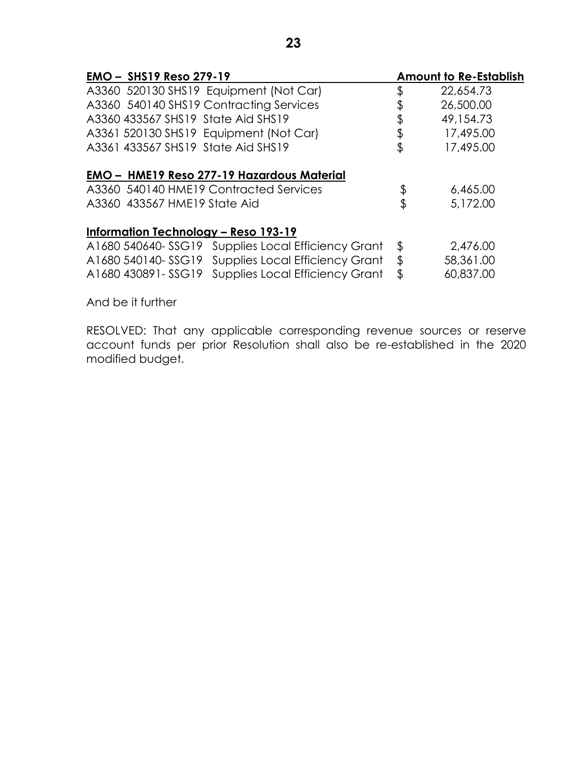| <b>EMO - SHS19 Reso 279-19</b>                        |         | <b>Amount to Re-Establish</b> |
|-------------------------------------------------------|---------|-------------------------------|
| A3360 520130 SHS19 Equipment (Not Car)                | \$      | 22,654.73                     |
| A3360 540140 SHS19 Contracting Services               |         | 26,500.00                     |
| A3360 433567 SHS19 State Aid SHS19                    |         | 49,154.73                     |
| A3361 520130 SHS19 Equipment (Not Car)                | \$      | 17,495.00                     |
| A3361 433567 SHS19 State Aid SHS19                    | \$      | 17,495.00                     |
| <b>EMO - HME19 Reso 277-19 Hazardous Material</b>     |         |                               |
| A3360 540140 HME19 Contracted Services                | \$      | 6,465.00                      |
| A3360 433567 HME19 State Aid                          | \$      | 5,172.00                      |
| Information Technology – Reso 193-19                  |         |                               |
| A1680 540640-SSG19 Supplies Local Efficiency Grant    | \$      | 2,476.00                      |
| A1680 540140-SSG19<br>Supplies Local Efficiency Grant | $\sqrt$ | 58,361.00                     |
| Supplies Local Efficiency Grant<br>A1680 430891-SSG19 | \$      | 60,837.00                     |

And be it further

RESOLVED: That any applicable corresponding revenue sources or reserve account funds per prior Resolution shall also be re-established in the 2020 modified budget.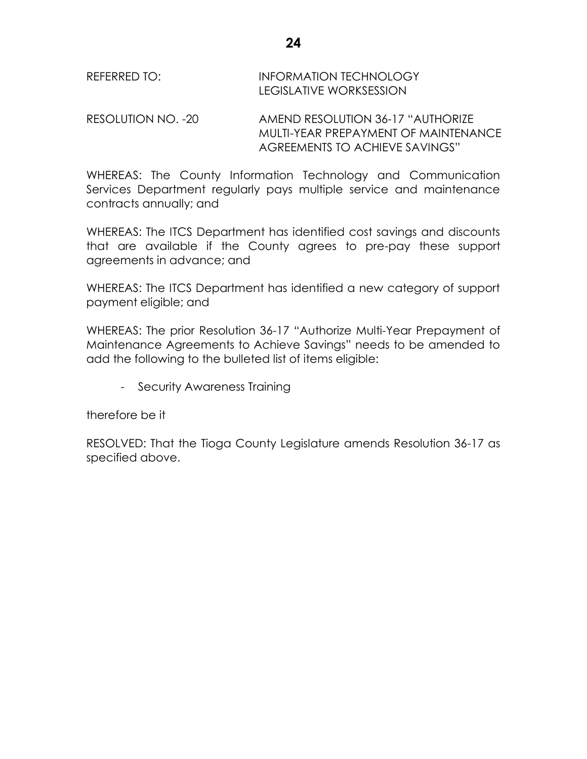| REFERRED TO: | <b>INFORMATION TECHNOLOGY</b> |
|--------------|-------------------------------|
|              | LEGISLATIVE WORKSESSION       |

RESOLUTION NO. -20 AMEND RESOLUTION 36-17 "AUTHORIZE MUI TI-YFAR PRFPAYMENT OF MAINTENANCE AGREEMENTS TO ACHIEVE SAVINGS"

WHEREAS: The County Information Technology and Communication Services Department regularly pays multiple service and maintenance contracts annually; and

WHEREAS: The ITCS Department has identified cost savings and discounts that are available if the County agrees to pre-pay these support agreements in advance; and

WHEREAS: The ITCS Department has identified a new category of support payment eligible; and

WHEREAS: The prior Resolution 36-17 "Authorize Multi-Year Prepayment of Maintenance Agreements to Achieve Savings" needs to be amended to add the following to the bulleted list of items eligible:

- Security Awareness Training

therefore be it

RESOLVED: That the Tioga County Legislature amends Resolution 36-17 as specified above.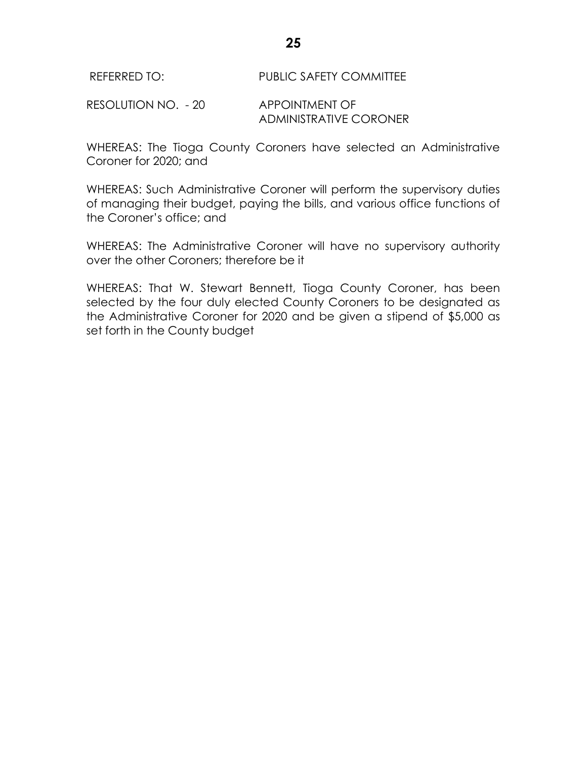RESOLUTION NO. - 20 APPOINTMENT OF ADMINISTRATIVE CORONER

WHEREAS: The Tioga County Coroners have selected an Administrative Coroner for 2020; and

WHEREAS: Such Administrative Coroner will perform the supervisory duties of managing their budget, paying the bills, and various office functions of the Coroner's office; and

WHEREAS: The Administrative Coroner will have no supervisory authority over the other Coroners; therefore be it

WHEREAS: That W. Stewart Bennett, Tioga County Coroner, has been selected by the four duly elected County Coroners to be designated as the Administrative Coroner for 2020 and be given a stipend of \$5,000 as set forth in the County budget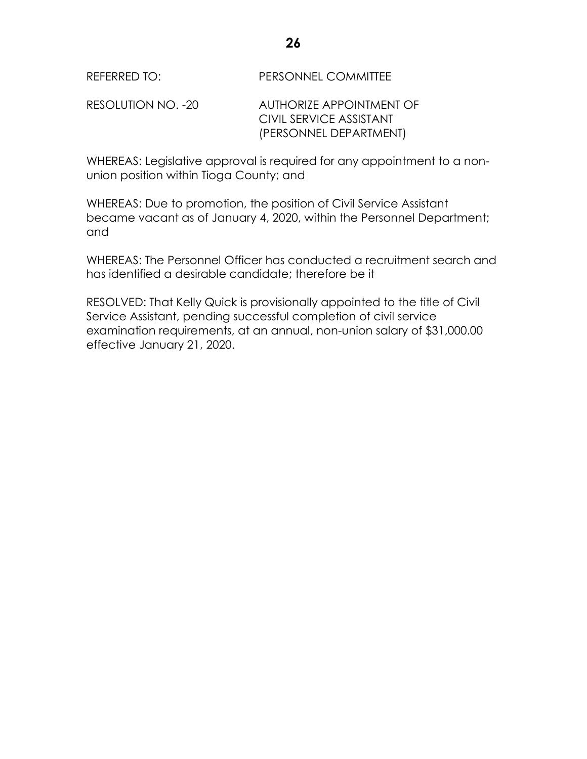RESOLUTION NO. -20 AUTHORIZE APPOINTMENT OF CIVIL SERVICE ASSISTANT (PERSONNEL DEPARTMENT)

WHEREAS: Legislative approval is required for any appointment to a nonunion position within Tioga County; and

WHEREAS: Due to promotion, the position of Civil Service Assistant became vacant as of January 4, 2020, within the Personnel Department; and

WHEREAS: The Personnel Officer has conducted a recruitment search and has identified a desirable candidate; therefore be it

RESOLVED: That Kelly Quick is provisionally appointed to the title of Civil Service Assistant, pending successful completion of civil service examination requirements, at an annual, non-union salary of \$31,000.00 effective January 21, 2020.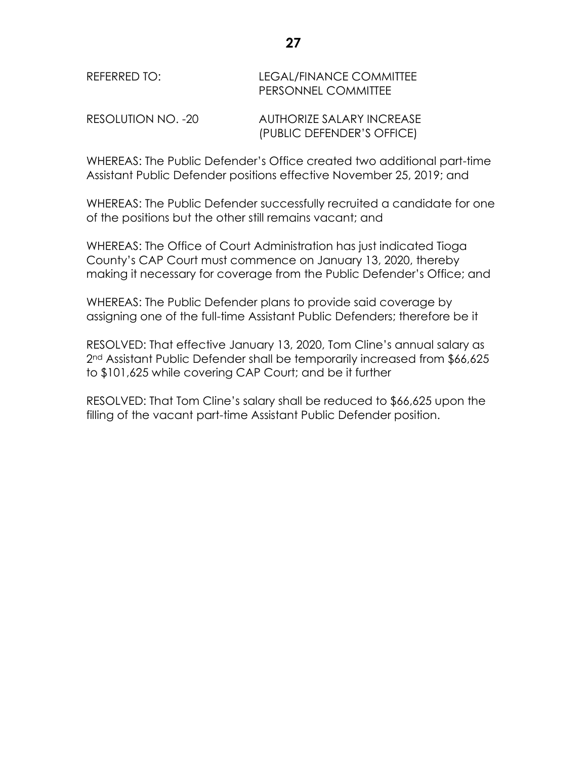| REFERRED TO:       | LEGAL/FINANCE COMMITTEE<br>PERSONNEL COMMITTEE          |
|--------------------|---------------------------------------------------------|
| RESOLUTION NO. -20 | AUTHORIZE SALARY INCREASE<br>(PUBLIC DEFENDER'S OFFICE) |

WHEREAS: The Public Defender's Office created two additional part-time Assistant Public Defender positions effective November 25, 2019; and

WHEREAS: The Public Defender successfully recruited a candidate for one of the positions but the other still remains vacant; and

WHEREAS: The Office of Court Administration has just indicated Tioga County's CAP Court must commence on January 13, 2020, thereby making it necessary for coverage from the Public Defender's Office; and

WHEREAS: The Public Defender plans to provide said coverage by assigning one of the full-time Assistant Public Defenders; therefore be it

RESOLVED: That effective January 13, 2020, Tom Cline's annual salary as 2<sup>nd</sup> Assistant Public Defender shall be temporarily increased from \$66,625 to \$101,625 while covering CAP Court; and be it further

RESOLVED: That Tom Cline's salary shall be reduced to \$66,625 upon the filling of the vacant part-time Assistant Public Defender position.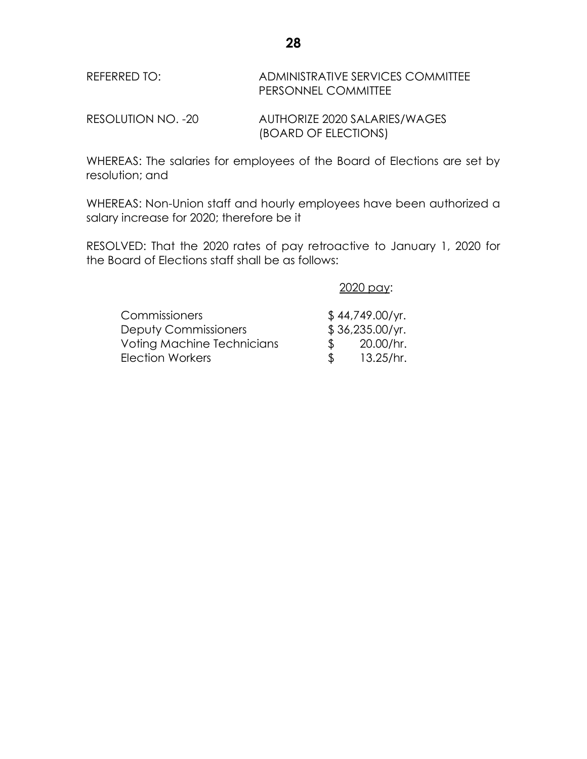REFERRED TO: ADMINISTRATIVE SERVICES COMMITTEE PERSONNEL COMMITTEE

RESOLUTION NO. -20 AUTHORIZE 2020 SALARIES/WAGES (BOARD OF ELECTIONS)

WHEREAS: The salaries for employees of the Board of Elections are set by resolution; and

WHEREAS: Non-Union staff and hourly employees have been authorized a salary increase for 2020; therefore be it

RESOLVED: That the 2020 rates of pay retroactive to January 1, 2020 for the Board of Elections staff shall be as follows:

2020 pay:

| <b>Commissioners</b>              |               | \$44,749.00/yr. |
|-----------------------------------|---------------|-----------------|
| <b>Deputy Commissioners</b>       |               | \$36,235.00/yr. |
| <b>Voting Machine Technicians</b> | $\mathcal{R}$ | 20.00/hr.       |
| Election Workers                  |               | 13.25/hr.       |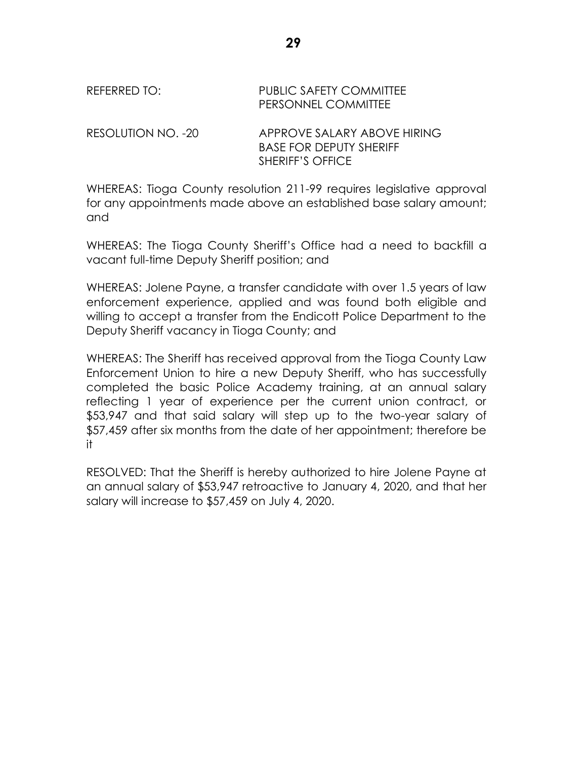## REFERRED TO: PUBLIC SAFETY COMMITTEE PERSONNEL COMMITTEE

RESOLUTION NO. -20 APPROVE SALARY ABOVE HIRING BASE FOR DEPUTY SHERIFF SHERIFF'S OFFICE

WHEREAS: Tioga County resolution 211-99 requires legislative approval for any appointments made above an established base salary amount; and

WHEREAS: The Tioga County Sheriff's Office had a need to backfill a vacant full-time Deputy Sheriff position; and

WHEREAS: Jolene Payne, a transfer candidate with over 1.5 years of law enforcement experience, applied and was found both eligible and willing to accept a transfer from the Endicott Police Department to the Deputy Sheriff vacancy in Tioga County; and

WHEREAS: The Sheriff has received approval from the Tioga County Law Enforcement Union to hire a new Deputy Sheriff, who has successfully completed the basic Police Academy training, at an annual salary reflecting 1 year of experience per the current union contract, or \$53,947 and that said salary will step up to the two-year salary of \$57,459 after six months from the date of her appointment; therefore be it

RESOLVED: That the Sheriff is hereby authorized to hire Jolene Payne at an annual salary of \$53,947 retroactive to January 4, 2020, and that her salary will increase to \$57,459 on July 4, 2020.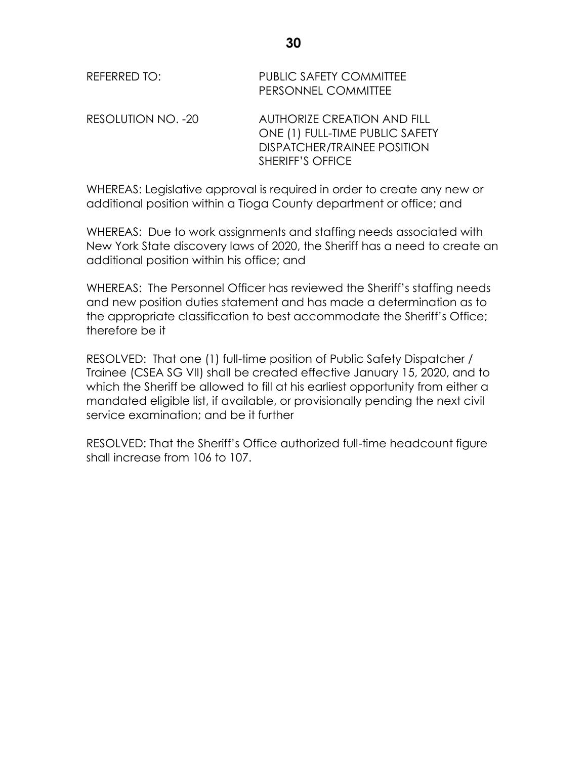| REFERRED TO:       | <b>PUBLIC SAFETY COMMITTEE</b><br>PERSONNEL COMMITTEE                                                                           |
|--------------------|---------------------------------------------------------------------------------------------------------------------------------|
| RESOLUTION NO. -20 | <b>AUTHORIZE CREATION AND FILL</b><br>ONE (1) FULL-TIME PUBLIC SAFETY<br><b>DISPATCHER/TRAINEE POSITION</b><br>SHERIFF'S OFFICE |

WHEREAS: Legislative approval is required in order to create any new or additional position within a Tioga County department or office; and

WHEREAS: Due to work assignments and staffing needs associated with New York State discovery laws of 2020, the Sheriff has a need to create an additional position within his office; and

WHEREAS: The Personnel Officer has reviewed the Sheriff's staffing needs and new position duties statement and has made a determination as to the appropriate classification to best accommodate the Sheriff's Office; therefore be it

RESOLVED: That one (1) full-time position of Public Safety Dispatcher / Trainee (CSEA SG VII) shall be created effective January 15, 2020, and to which the Sheriff be allowed to fill at his earliest opportunity from either a mandated eligible list, if available, or provisionally pending the next civil service examination; and be it further

RESOLVED: That the Sheriff's Office authorized full-time headcount figure shall increase from 106 to 107.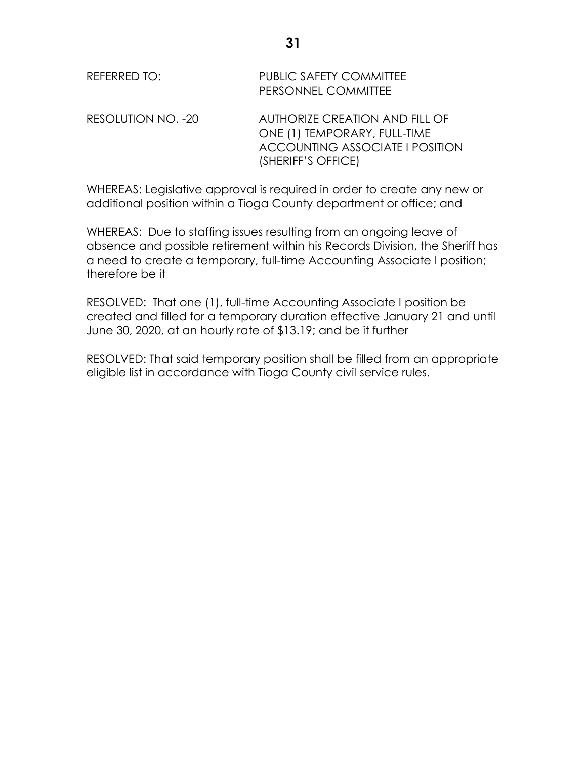| REFERRED TO:       | <b>PUBLIC SAFETY COMMITTEE</b><br>PERSONNEL COMMITTEE                                                                   |
|--------------------|-------------------------------------------------------------------------------------------------------------------------|
| RESOLUTION NO. -20 | AUTHORIZE CREATION AND FILL OF<br>ONE (1) TEMPORARY, FULL-TIME<br>ACCOUNTING ASSOCIATE I POSITION<br>(SHERIFF'S OFFICE) |

WHEREAS: Legislative approval is required in order to create any new or additional position within a Tioga County department or office; and

WHEREAS: Due to staffing issues resulting from an ongoing leave of absence and possible retirement within his Records Division, the Sheriff has a need to create a temporary, full-time Accounting Associate I position; therefore be it

RESOLVED: That one (1), full-time Accounting Associate I position be created and filled for a temporary duration effective January 21 and until June 30, 2020, at an hourly rate of \$13.19; and be it further

RESOLVED: That said temporary position shall be filled from an appropriate eligible list in accordance with Tioga County civil service rules.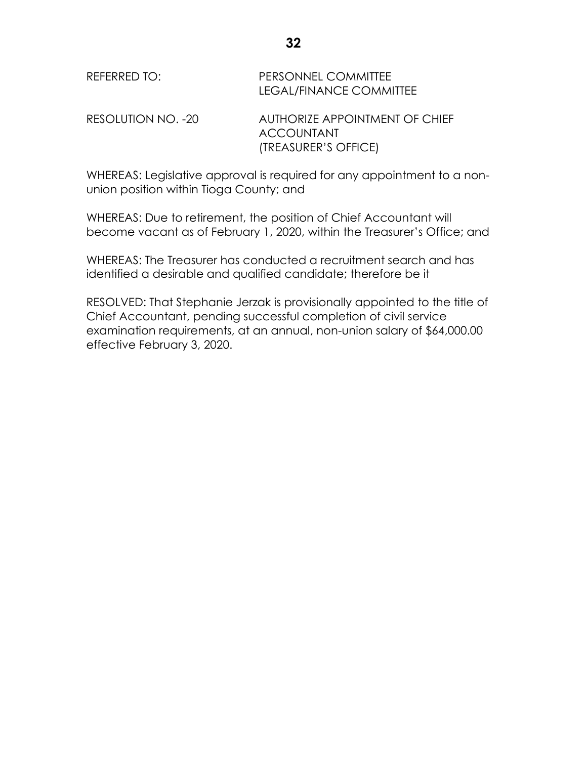| REFERRED TO:       | PERSONNEL COMMITTEE<br>LEGAL/FINANCE COMMITTEE      |
|--------------------|-----------------------------------------------------|
| RESOLUTION NO. -20 | AUTHORIZE APPOINTMENT OF CHIEF<br><b>ACCOUNTANT</b> |
|                    | (TREASURER'S OFFICE)                                |

WHEREAS: Legislative approval is required for any appointment to a nonunion position within Tioga County; and

WHEREAS: Due to retirement, the position of Chief Accountant will become vacant as of February 1, 2020, within the Treasurer's Office; and

WHEREAS: The Treasurer has conducted a recruitment search and has identified a desirable and qualified candidate; therefore be it

RESOLVED: That Stephanie Jerzak is provisionally appointed to the title of Chief Accountant, pending successful completion of civil service examination requirements, at an annual, non-union salary of \$64,000.00 effective February 3, 2020.